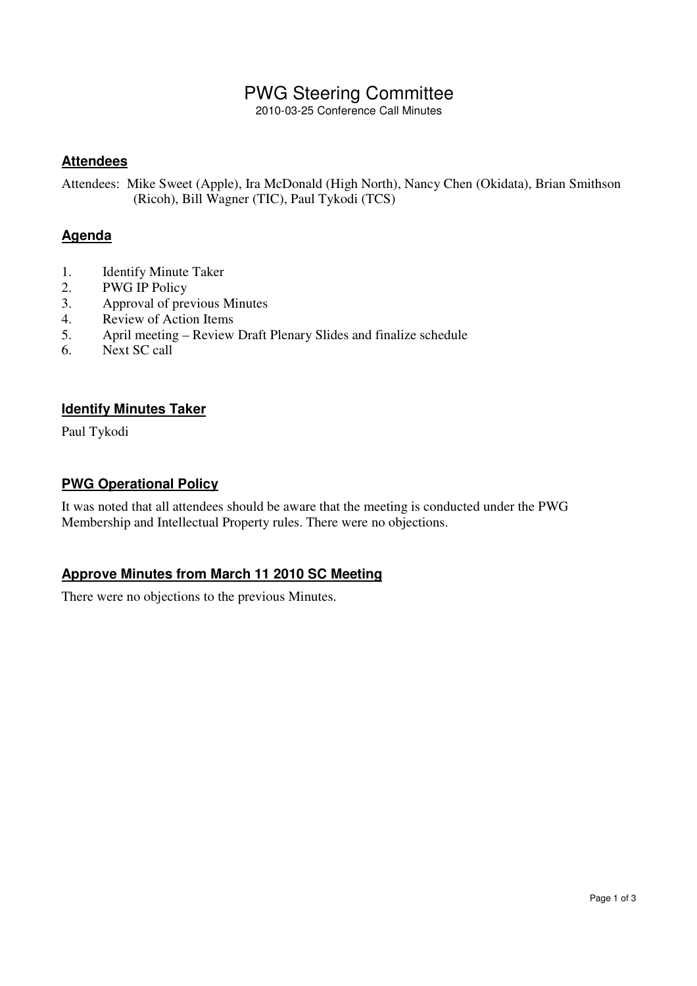## PWG Steering Committee

2010-03-25 Conference Call Minutes

### **Attendees**

Attendees: Mike Sweet (Apple), Ira McDonald (High North), Nancy Chen (Okidata), Brian Smithson (Ricoh), Bill Wagner (TIC), Paul Tykodi (TCS)

### **Agenda**

- 1. Identify Minute Taker
- 2. PWG IP Policy
- 3. Approval of previous Minutes
- 4. Review of Action Items<br>5. April meeting Review
- 5. April meeting Review Draft Plenary Slides and finalize schedule
- 6. Next SC call

### **Identify Minutes Taker**

Paul Tykodi

### **PWG Operational Policy**

It was noted that all attendees should be aware that the meeting is conducted under the PWG Membership and Intellectual Property rules. There were no objections.

### **Approve Minutes from March 11 2010 SC Meeting**

There were no objections to the previous Minutes.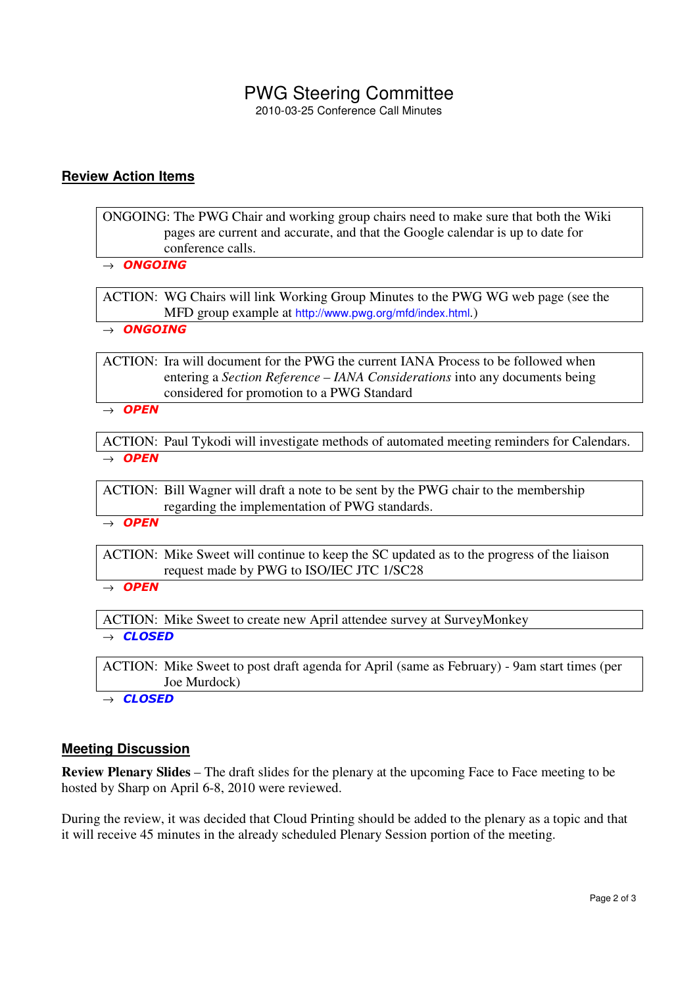# PWG Steering Committee

2010-03-25 Conference Call Minutes

#### **Review Action Items**

ONGOING: The PWG Chair and working group chairs need to make sure that both the Wiki pages are current and accurate, and that the Google calendar is up to date for conference calls.

 $\rightarrow$  ONGOING

ACTION: WG Chairs will link Working Group Minutes to the PWG WG web page (see the MFD group example at http://www.pwg.org/mfd/index.html.)

 $\rightarrow$  ONGOING

ACTION: Ira will document for the PWG the current IANA Process to be followed when entering a *Section Reference – IANA Considerations* into any documents being considered for promotion to a PWG Standard

 $\rightarrow$  OPEN

ACTION: Paul Tykodi will investigate methods of automated meeting reminders for Calendars.  $\rightarrow$  OPEN

ACTION: Bill Wagner will draft a note to be sent by the PWG chair to the membership regarding the implementation of PWG standards.

 $\rightarrow$  OPEN

ACTION: Mike Sweet will continue to keep the SC updated as to the progress of the liaison request made by PWG to ISO/IEC JTC 1/SC28

 $\rightarrow$  OPEN

ACTION: Mike Sweet to create new April attendee survey at SurveyMonkey  $\rightarrow$  CLOSED

ACTION: Mike Sweet to post draft agenda for April (same as February) - 9am start times (per Joe Murdock)

 $\rightarrow$  CLOSED

#### **Meeting Discussion**

**Review Plenary Slides** – The draft slides for the plenary at the upcoming Face to Face meeting to be hosted by Sharp on April 6-8, 2010 were reviewed.

During the review, it was decided that Cloud Printing should be added to the plenary as a topic and that it will receive 45 minutes in the already scheduled Plenary Session portion of the meeting.